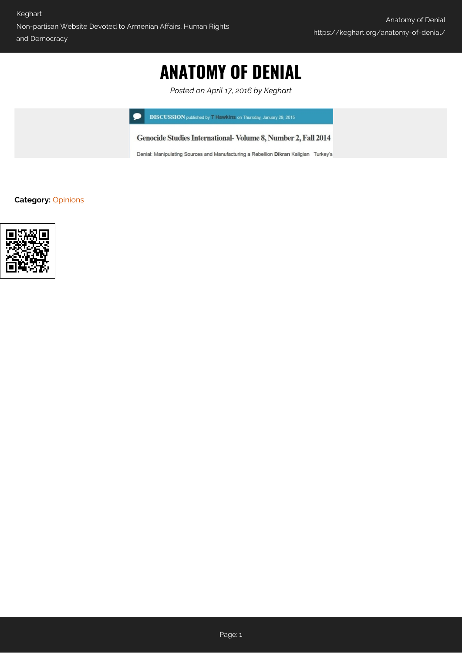# **ANATOMY OF DENIAL**

*Posted on April 17, 2016 by Keghart*

**DISCUSSION** published by T Hawkins on Thursday, January 29, 2015

Genocide Studies International-Volume 8, Number 2, Fall 2014

Denial: Manipulating Sources and Manufacturing a Rebellion Dikran Kaligian Turkey's

**Category:** [Opinions](https://keghart.org/category/opinions/)

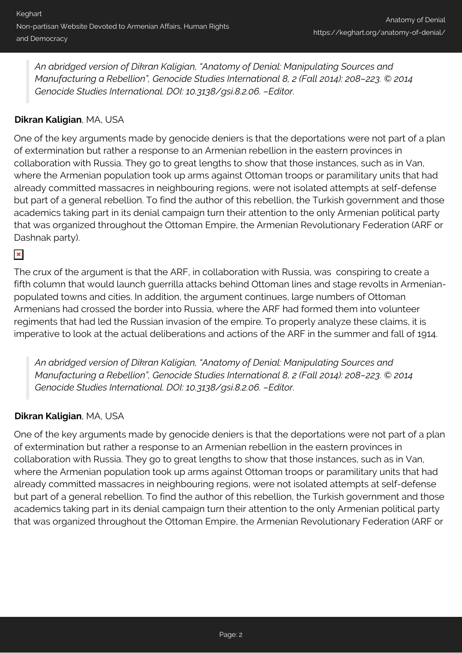*An abridged version of Dikran Kaligian, "Anatomy of Denial: Manipulating Sources and Manufacturing a Rebellion", Genocide Studies International 8, 2 (Fall 2014): 208–223. © 2014 Genocide Studies International. DOI: 10.3138/gsi.8.2.06. –Editor.*

## **Dikran Kaligian**, MA, USA

One of the key arguments made by genocide deniers is that the deportations were not part of a plan of extermination but rather a response to an Armenian rebellion in the eastern provinces in collaboration with Russia. They go to great lengths to show that those instances, such as in Van, where the Armenian population took up arms against Ottoman troops or paramilitary units that had already committed massacres in neighbouring regions, were not isolated attempts at self-defense but part of a general rebellion. To find the author of this rebellion, the Turkish government and those academics taking part in its denial campaign turn their attention to the only Armenian political party that was organized throughout the Ottoman Empire, the Armenian Revolutionary Federation (ARF or Dashnak party).

## $\pmb{\times}$

The crux of the argument is that the ARF, in collaboration with Russia, was conspiring to create a fifth column that would launch guerrilla attacks behind Ottoman lines and stage revolts in Armenianpopulated towns and cities. In addition, the argument continues, large numbers of Ottoman Armenians had crossed the border into Russia, where the ARF had formed them into volunteer regiments that had led the Russian invasion of the empire. To properly analyze these claims, it is imperative to look at the actual deliberations and actions of the ARF in the summer and fall of 1914.

*An abridged version of Dikran Kaligian, "Anatomy of Denial: Manipulating Sources and Manufacturing a Rebellion", Genocide Studies International 8, 2 (Fall 2014): 208–223. © 2014 Genocide Studies International. DOI: 10.3138/gsi.8.2.06. –Editor.*

### **Dikran Kaligian**, MA, USA

One of the key arguments made by genocide deniers is that the deportations were not part of a plan of extermination but rather a response to an Armenian rebellion in the eastern provinces in collaboration with Russia. They go to great lengths to show that those instances, such as in Van, where the Armenian population took up arms against Ottoman troops or paramilitary units that had already committed massacres in neighbouring regions, were not isolated attempts at self-defense but part of a general rebellion. To find the author of this rebellion, the Turkish government and those academics taking part in its denial campaign turn their attention to the only Armenian political party that was organized throughout the Ottoman Empire, the Armenian Revolutionary Federation (ARF or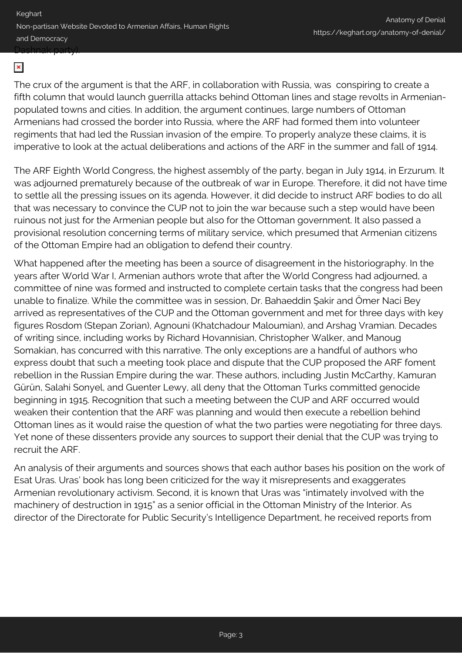Keghart Non-partisan Website Devoted to Armenian Affairs, Human Rights and Democracy Dashnak party).

#### $\pmb{\times}$

The crux of the argument is that the ARF, in collaboration with Russia, was conspiring to create a fifth column that would launch guerrilla attacks behind Ottoman lines and stage revolts in Armenianpopulated towns and cities. In addition, the argument continues, large numbers of Ottoman Armenians had crossed the border into Russia, where the ARF had formed them into volunteer regiments that had led the Russian invasion of the empire. To properly analyze these claims, it is imperative to look at the actual deliberations and actions of the ARF in the summer and fall of 1914.

The ARF Eighth World Congress, the highest assembly of the party, began in July 1914, in Erzurum. It was adjourned prematurely because of the outbreak of war in Europe. Therefore, it did not have time to settle all the pressing issues on its agenda. However, it did decide to instruct ARF bodies to do all that was necessary to convince the CUP not to join the war because such a step would have been ruinous not just for the Armenian people but also for the Ottoman government. It also passed a provisional resolution concerning terms of military service, which presumed that Armenian citizens of the Ottoman Empire had an obligation to defend their country.

What happened after the meeting has been a source of disagreement in the historiography. In the years after World War I, Armenian authors wrote that after the World Congress had adjourned, a committee of nine was formed and instructed to complete certain tasks that the congress had been unable to finalize. While the committee was in session, Dr. Bahaeddin Şakir and Ömer Naci Bey arrived as representatives of the CUP and the Ottoman government and met for three days with key figures Rosdom (Stepan Zorian), Agnouni (Khatchadour Maloumian), and Arshag Vramian. Decades of writing since, including works by Richard Hovannisian, Christopher Walker, and Manoug Somakian, has concurred with this narrative. The only exceptions are a handful of authors who express doubt that such a meeting took place and dispute that the CUP proposed the ARF foment rebellion in the Russian Empire during the war. These authors, including Justin McCarthy, Kamuran Gürün, Salahi Sonyel, and Guenter Lewy, all deny that the Ottoman Turks committed genocide beginning in 1915. Recognition that such a meeting between the CUP and ARF occurred would weaken their contention that the ARF was planning and would then execute a rebellion behind Ottoman lines as it would raise the question of what the two parties were negotiating for three days. Yet none of these dissenters provide any sources to support their denial that the CUP was trying to recruit the ARF.

An analysis of their arguments and sources shows that each author bases his position on the work of Esat Uras. Uras' book has long been criticized for the way it misrepresents and exaggerates Armenian revolutionary activism. Second, it is known that Uras was "intimately involved with the machinery of destruction in 1915" as a senior official in the Ottoman Ministry of the Interior. As director of the Directorate for Public Security's Intelligence Department, he received reports from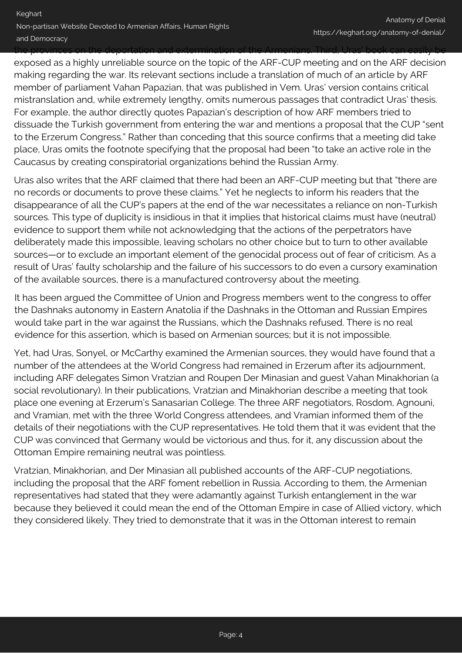the provinces on the deportation and extermination of the Armenians. Third, Uras' book can easily be exposed as a highly unreliable source on the topic of the ARF-CUP meeting and on the ARF decision making regarding the war. Its relevant sections include a translation of much of an article by ARF member of parliament Vahan Papazian, that was published in Vem. Uras' version contains critical mistranslation and, while extremely lengthy, omits numerous passages that contradict Uras' thesis. For example, the author directly quotes Papazian's description of how ARF members tried to dissuade the Turkish government from entering the war and mentions a proposal that the CUP "sent to the Erzerum Congress." Rather than conceding that this source confirms that a meeting did take place, Uras omits the footnote specifying that the proposal had been "to take an active role in the Caucasus by creating conspiratorial organizations behind the Russian Army.

Uras also writes that the ARF claimed that there had been an ARF-CUP meeting but that "there are no records or documents to prove these claims." Yet he neglects to inform his readers that the disappearance of all the CUP's papers at the end of the war necessitates a reliance on non-Turkish sources. This type of duplicity is insidious in that it implies that historical claims must have (neutral) evidence to support them while not acknowledging that the actions of the perpetrators have deliberately made this impossible, leaving scholars no other choice but to turn to other available sources—or to exclude an important element of the genocidal process out of fear of criticism. As a result of Uras' faulty scholarship and the failure of his successors to do even a cursory examination of the available sources, there is a manufactured controversy about the meeting.

It has been argued the Committee of Union and Progress members went to the congress to offer the Dashnaks autonomy in Eastern Anatolia if the Dashnaks in the Ottoman and Russian Empires would take part in the war against the Russians, which the Dashnaks refused. There is no real evidence for this assertion, which is based on Armenian sources; but it is not impossible.

Yet, had Uras, Sonyel, or McCarthy examined the Armenian sources, they would have found that a number of the attendees at the World Congress had remained in Erzerum after its adjournment, including ARF delegates Simon Vratzian and Roupen Der Minasian and guest Vahan Minakhorian (a social revolutionary). In their publications, Vratzian and Minakhorian describe a meeting that took place one evening at Erzerum's Sanasarian College. The three ARF negotiators, Rosdom, Agnouni, and Vramian, met with the three World Congress attendees, and Vramian informed them of the details of their negotiations with the CUP representatives. He told them that it was evident that the CUP was convinced that Germany would be victorious and thus, for it, any discussion about the Ottoman Empire remaining neutral was pointless.

Vratzian, Minakhorian, and Der Minasian all published accounts of the ARF-CUP negotiations, including the proposal that the ARF foment rebellion in Russia. According to them, the Armenian representatives had stated that they were adamantly against Turkish entanglement in the war because they believed it could mean the end of the Ottoman Empire in case of Allied victory, which they considered likely. They tried to demonstrate that it was in the Ottoman interest to remain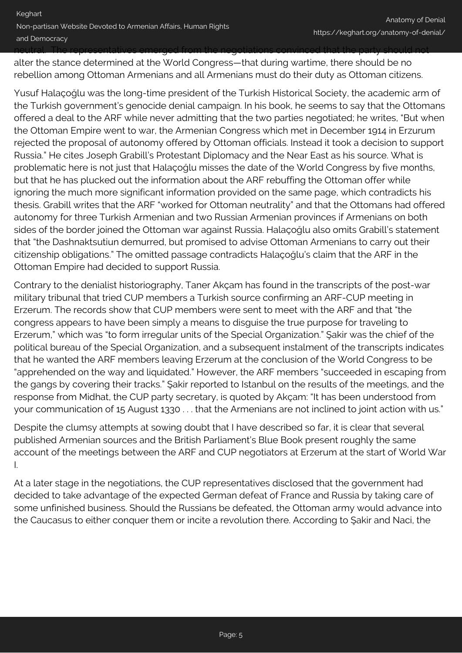neutral. The representatives emerged from the negotiations convinced that the party should not

alter the stance determined at the World Congress—that during wartime, there should be no rebellion among Ottoman Armenians and all Armenians must do their duty as Ottoman citizens.

Yusuf Halaçoğlu was the long-time president of the Turkish Historical Society, the academic arm of the Turkish government's genocide denial campaign. In his book, he seems to say that the Ottomans offered a deal to the ARF while never admitting that the two parties negotiated; he writes, "But when the Ottoman Empire went to war, the Armenian Congress which met in December 1914 in Erzurum rejected the proposal of autonomy offered by Ottoman officials. Instead it took a decision to support Russia." He cites Joseph Grabill's Protestant Diplomacy and the Near East as his source. What is problematic here is not just that Halaçoğlu misses the date of the World Congress by five months, but that he has plucked out the information about the ARF rebuffing the Ottoman offer while ignoring the much more significant information provided on the same page, which contradicts his thesis. Grabill writes that the ARF "worked for Ottoman neutrality" and that the Ottomans had offered autonomy for three Turkish Armenian and two Russian Armenian provinces if Armenians on both sides of the border joined the Ottoman war against Russia. Halaçoğlu also omits Grabill's statement that "the Dashnaktsutiun demurred, but promised to advise Ottoman Armenians to carry out their citizenship obligations." The omitted passage contradicts Halaçoğlu's claim that the ARF in the Ottoman Empire had decided to support Russia.

Contrary to the denialist historiography, Taner Akçam has found in the transcripts of the post-war military tribunal that tried CUP members a Turkish source confirming an ARF-CUP meeting in Erzerum. The records show that CUP members were sent to meet with the ARF and that "the congress appears to have been simply a means to disguise the true purpose for traveling to Erzerum," which was "to form irregular units of the Special Organization." Şakir was the chief of the political bureau of the Special Organization, and a subsequent instalment of the transcripts indicates that he wanted the ARF members leaving Erzerum at the conclusion of the World Congress to be "apprehended on the way and liquidated." However, the ARF members "succeeded in escaping from the gangs by covering their tracks." Şakir reported to Istanbul on the results of the meetings, and the response from Midhat, the CUP party secretary, is quoted by Akçam: "It has been understood from your communication of 15 August 1330 . . . that the Armenians are not inclined to joint action with us."

Despite the clumsy attempts at sowing doubt that I have described so far, it is clear that several published Armenian sources and the British Parliament's Blue Book present roughly the same account of the meetings between the ARF and CUP negotiators at Erzerum at the start of World War I.

At a later stage in the negotiations, the CUP representatives disclosed that the government had decided to take advantage of the expected German defeat of France and Russia by taking care of some unfinished business. Should the Russians be defeated, the Ottoman army would advance into the Caucasus to either conquer them or incite a revolution there. According to Şakir and Naci, the